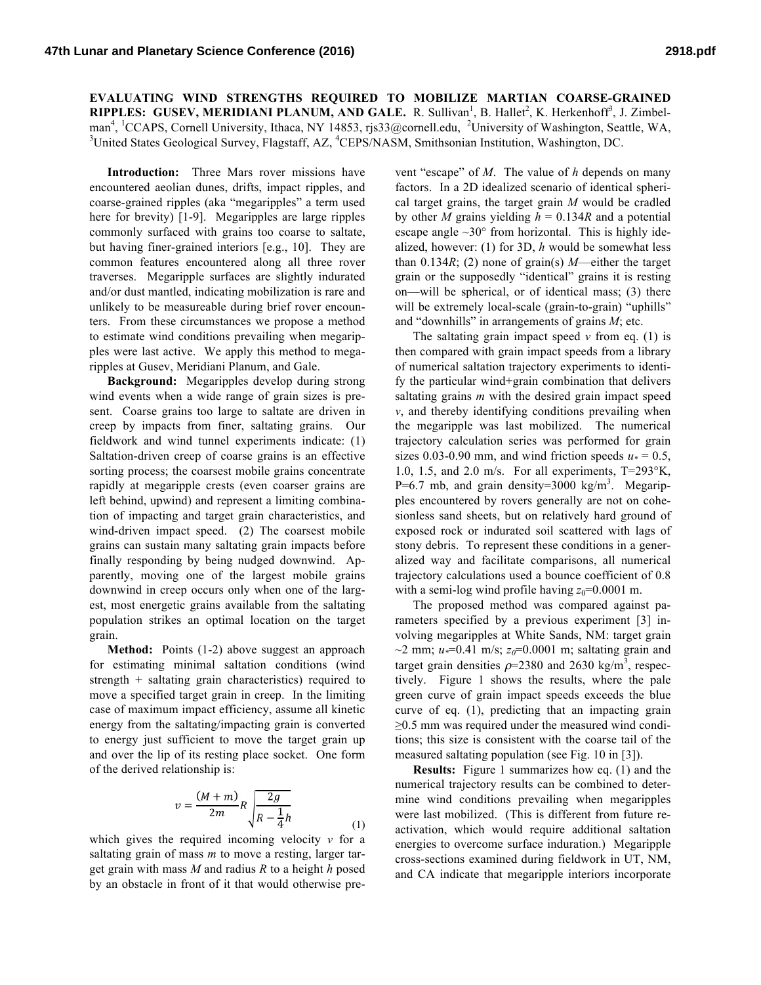**EVALUATING WIND STRENGTHS REQUIRED TO MOBILIZE MARTIAN COARSE-GRAINED RIPPLES: GUSEV, MERIDIANI PLANUM, AND GALE.** R. Sullivan<sup>1</sup>, B. Hallet<sup>2</sup>, K. Herkenhoff<sup>3</sup>, J. Zimbelman<sup>4</sup>, <sup>1</sup>CCAPS, Cornell University, Ithaca, NY 14853, rjs33@cornell.edu, <sup>2</sup>University of Washington, Seattle, WA, <sup>3</sup>United States Geological Survey, Electoff AZ, <sup>4</sup>CEBS/MASM, Smithsonian Institution, Washington, DC United States Geological Survey, Flagstaff, AZ, <sup>4</sup>CEPS/NASM, Smithsonian Institution, Washington, DC.

**Introduction:** Three Mars rover missions have encountered aeolian dunes, drifts, impact ripples, and coarse-grained ripples (aka "megaripples" a term used here for brevity) [1-9]. Megaripples are large ripples commonly surfaced with grains too coarse to saltate, but having finer-grained interiors [e.g., 10]. They are common features encountered along all three rover traverses. Megaripple surfaces are slightly indurated and/or dust mantled, indicating mobilization is rare and unlikely to be measureable during brief rover encounters. From these circumstances we propose a method to estimate wind conditions prevailing when megaripples were last active. We apply this method to megaripples at Gusev, Meridiani Planum, and Gale.

**Background:** Megaripples develop during strong wind events when a wide range of grain sizes is present. Coarse grains too large to saltate are driven in creep by impacts from finer, saltating grains. Our fieldwork and wind tunnel experiments indicate: (1) Saltation-driven creep of coarse grains is an effective sorting process; the coarsest mobile grains concentrate rapidly at megaripple crests (even coarser grains are left behind, upwind) and represent a limiting combination of impacting and target grain characteristics, and wind-driven impact speed. (2) The coarsest mobile grains can sustain many saltating grain impacts before finally responding by being nudged downwind. Apparently, moving one of the largest mobile grains downwind in creep occurs only when one of the largest, most energetic grains available from the saltating population strikes an optimal location on the target grain.

Method: Points (1-2) above suggest an approach for estimating minimal saltation conditions (wind strength + saltating grain characteristics) required to move a specified target grain in creep. In the limiting case of maximum impact efficiency, assume all kinetic energy from the saltating/impacting grain is converted to energy just sufficient to move the target grain up and over the lip of its resting place socket. One form of the derived relationship is:

$$
v = \frac{(M+m)}{2m}R\sqrt{\frac{2g}{R-\frac{1}{4}h}}
$$
\n(1)

which gives the required incoming velocity *v* for a saltating grain of mass *m* to move a resting, larger target grain with mass *M* and radius *R* to a height *h* posed by an obstacle in front of it that would otherwise pre-

vent "escape" of *M*. The value of *h* depends on many factors. In a 2D idealized scenario of identical spherical target grains, the target grain *M* would be cradled by other *M* grains yielding  $h = 0.134R$  and a potential escape angle  $\sim$ 30 $\degree$  from horizontal. This is highly idealized, however: (1) for 3D, *h* would be somewhat less than  $0.134R$ ; (2) none of grain(s) *M*—either the target grain or the supposedly "identical" grains it is resting on—will be spherical, or of identical mass; (3) there will be extremely local-scale (grain-to-grain) "uphills" and "downhills" in arrangements of grains *M*; etc.

The saltating grain impact speed  $\nu$  from eq. (1) is then compared with grain impact speeds from a library of numerical saltation trajectory experiments to identify the particular wind+grain combination that delivers saltating grains *m* with the desired grain impact speed *v*, and thereby identifying conditions prevailing when the megaripple was last mobilized. The numerical trajectory calculation series was performed for grain sizes 0.03-0.90 mm, and wind friction speeds  $u_* = 0.5$ , 1.0, 1.5, and 2.0 m/s. For all experiments, T=293°K,  $P=6.7$  mb, and grain density=3000 kg/m<sup>3</sup>. Megaripples encountered by rovers generally are not on cohesionless sand sheets, but on relatively hard ground of exposed rock or indurated soil scattered with lags of stony debris. To represent these conditions in a generalized way and facilitate comparisons, all numerical trajectory calculations used a bounce coefficient of 0.8 with a semi-log wind profile having  $z_0=0.0001$  m.

The proposed method was compared against parameters specified by a previous experiment [3] involving megaripples at White Sands, NM: target grain  $\sim$ 2 mm;  $u$  $\neq$ =0.41 m/s;  $z_0$ =0.0001 m; saltating grain and target grain densities  $\rho$ =2380 and 2630 kg/m<sup>3</sup>, respectively. Figure 1 shows the results, where the pale green curve of grain impact speeds exceeds the blue curve of eq. (1), predicting that an impacting grain ≥0.5 mm was required under the measured wind conditions; this size is consistent with the coarse tail of the measured saltating population (see Fig. 10 in [3]).

**Results:** Figure 1 summarizes how eq. (1) and the numerical trajectory results can be combined to determine wind conditions prevailing when megaripples were last mobilized. (This is different from future reactivation, which would require additional saltation energies to overcome surface induration.) Megaripple cross-sections examined during fieldwork in UT, NM, and CA indicate that megaripple interiors incorporate